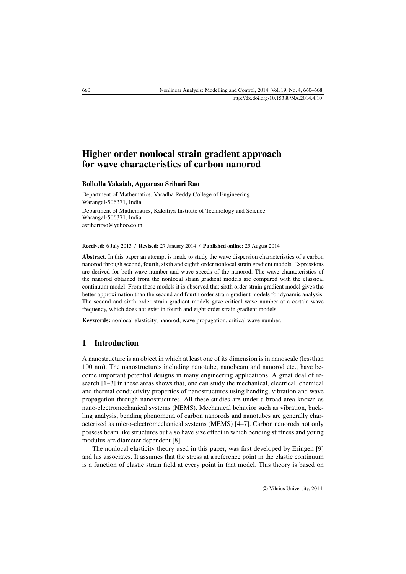# Higher order nonlocal strain gradient approach for wave characteristics of carbon nanorod

## Bolledla Yakaiah, Apparasu Srihari Rao

Department of Mathematics, Varadha Reddy College of Engineering Warangal-506371, India Department of Mathematics, Kakatiya Institute of Technology and Science Warangal-506371, India [asriharirao@yahoo.co.in](mailto:asriharirao@yahoo.co.in)

Received: 6 July 2013 / Revised: 27 January 2014 / Published online: 25 August 2014

Abstract. In this paper an attempt is made to study the wave dispersion characteristics of a carbon nanorod through second, fourth, sixth and eighth order nonlocal strain gradient models. Expressions are derived for both wave number and wave speeds of the nanorod. The wave characteristics of the nanorod obtained from the nonlocal strain gradient models are compared with the classical continuum model. From these models it is observed that sixth order strain gradient model gives the better approximation than the second and fourth order strain gradient models for dynamic analysis. The second and sixth order strain gradient models gave critical wave number at a certain wave frequency, which does not exist in fourth and eight order strain gradient models.

Keywords: nonlocal elasticity, nanorod, wave propagation, critical wave number.

#### 1 Introduction

A nanostructure is an object in which at least one of its dimension is in nanoscale (lessthan 100 nm). The nanostructures including nanotube, nanobeam and nanorod etc., have become important potential designs in many engineering applications. A great deal of research [\[1–](#page-7-0)[3\]](#page-7-1) in these areas shows that, one can study the mechanical, electrical, chemical and thermal conductivity properties of nanostructures using bending, vibration and wave propagation through nanostructures. All these studies are under a broad area known as nano-electromechanical systems (NEMS). Mechanical behavior such as vibration, buckling analysis, bending phenomena of carbon nanorods and nanotubes are generally characterized as micro-electromechanical systems (MEMS) [\[4](#page-7-2)[–7\]](#page-7-3). Carbon nanorods not only possess beam like structures but also have size effect in which bending stiffness and young modulus are diameter dependent [\[8\]](#page-7-4).

The nonlocal elasticity theory used in this paper, was first developed by Eringen [\[9\]](#page-7-5) and his associates. It assumes that the stress at a reference point in the elastic continuum is a function of elastic strain field at every point in that model. This theory is based on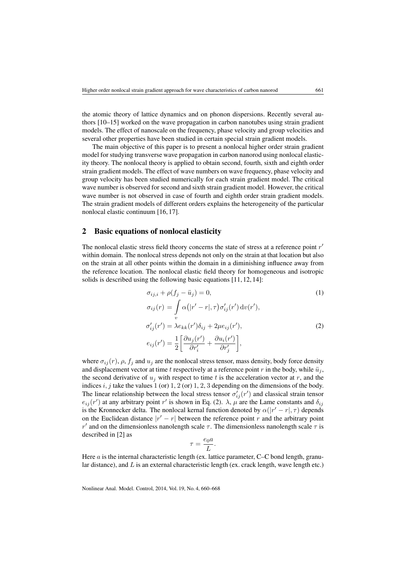the atomic theory of lattice dynamics and on phonon dispersions. Recently several authors [\[10](#page-7-6)[–15\]](#page-8-0) worked on the wave propagation in carbon nanotubes using strain gradient models. The effect of nanoscale on the frequency, phase velocity and group velocities and several other properties have been studied in certain special strain gradient models.

The main objective of this paper is to present a nonlocal higher order strain gradient model for studying transverse wave propagation in carbon nanorod using nonlocal elasticity theory. The nonlocal theory is applied to obtain second, fourth, sixth and eighth order strain gradient models. The effect of wave numbers on wave frequency, phase velocity and group velocity has been studied numerically for each strain gradient model. The critical wave number is observed for second and sixth strain gradient model. However, the critical wave number is not observed in case of fourth and eighth order strain gradient models. The strain gradient models of different orders explains the heterogeneity of the particular nonlocal elastic continuum [\[16,](#page-8-1) [17\]](#page-8-2).

#### 2 Basic equations of nonlocal elasticity

The nonlocal elastic stress field theory concerns the state of stress at a reference point  $r'$ within domain. The nonlocal stress depends not only on the strain at that location but also on the strain at all other points within the domain in a diminishing influence away from the reference location. The nonlocal elastic field theory for homogeneous and isotropic solids is described using the following basic equations [\[11,](#page-7-7) [12,](#page-7-8) [14\]](#page-8-3):

<span id="page-1-1"></span>
$$
\sigma_{ij,i} + \rho(f_j - \ddot{u}_j) = 0,
$$
\n
$$
\sigma_{ij}(r) = \int_{v} \alpha(|r' - r|, \tau) \sigma'_{ij}(r') dv(r'),
$$
\n
$$
\sigma'_{ij}(r') = \lambda e_{kk}(r') \delta_{ij} + 2\mu e_{ij}(r'),
$$
\n
$$
e_{ij}(r') = \frac{1}{2} \left[ \frac{\partial u_j(r')}{\partial r'_i} + \frac{\partial u_i(r')}{\partial r'_j} \right],
$$
\n(2)

where  $\sigma_{ij}(r)$ ,  $\rho$ ,  $f_j$  and  $u_j$  are the nonlocal stress tensor, mass density, body force density and displacement vector at time t respectively at a reference point  $r$  in the body, while  $\ddot{u}_j$ , the second derivative of  $u_i$  with respect to time t is the acceleration vector at r, and the indices i, j take the values 1 (or) 1, 2 (or) 1, 2, 3 depending on the dimensions of the body. The linear relationship between the local stress tensor  $\sigma'_{ij}(r')$  and classical strain tensor  $e_{ij}(r')$  at any arbitrary point r' is shown in Eq. [\(2\)](#page-1-0).  $\lambda$ ,  $\mu$  are the Lame constants and  $\delta_{ij}$ is the Kronnecker delta. The nonlocal kernal function denoted by  $\alpha(|r'-r|, \tau)$  depends on the Euclidean distance  $|r' - r|$  between the reference point r and the arbitrary point r' and on the dimensionless nanolength scale  $\tau$ . The dimensionless nanolength scale  $\tau$  is described in [\[2\]](#page-7-9) as

<span id="page-1-0"></span>
$$
r = \frac{e_0 a}{L}.
$$

 $\overline{1}$ 

Here a is the internal characteristic length (ex. lattice parameter, C–C bond length, granular distance), and  $L$  is an external characteristic length (ex. crack length, wave length etc.)

Nonlinear Anal. Model. Control, 2014, Vol. 19, No. 4, 660–668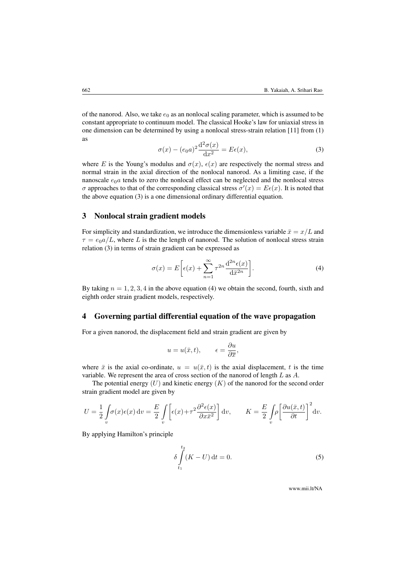of the nanorod. Also, we take  $e_0$  as an nonlocal scaling parameter, which is assumed to be constant appropriate to continuum model. The classical Hooke's law for uniaxial stress in one dimension can be determined by using a nonlocal stress-strain relation [\[11\]](#page-7-7) from [\(1\)](#page-1-1) as

<span id="page-2-0"></span>
$$
\sigma(x) - (e_0 a)^2 \frac{\mathrm{d}^2 \sigma(x)}{\mathrm{d} x^2} = E \epsilon(x),\tag{3}
$$

where E is the Young's modulus and  $\sigma(x)$ ,  $\epsilon(x)$  are respectively the normal stress and normal strain in the axial direction of the nonlocal nanorod. As a limiting case, if the nanoscale  $e_0a$  tends to zero the nonlocal effect can be neglected and the nonlocal stress σ approaches to that of the corresponding classical stress  $σ'(x) = Eε(x)$ . It is noted that the above equation [\(3\)](#page-2-0) is a one dimensional ordinary differential equation.

#### 3 Nonlocal strain gradient models

For simplicity and standardization, we introduce the dimensionless variable  $\bar{x} = x/L$  and  $\tau = e_0 a/L$ , where L is the the length of nanorod. The solution of nonlocal stress strain relation [\(3\)](#page-2-0) in terms of strain gradient can be expressed as

<span id="page-2-1"></span>
$$
\sigma(x) = E\bigg[\epsilon(x) + \sum_{n=1}^{\infty} \tau^{2n} \frac{d^{2n}\epsilon(x)}{d\bar{x}^{2n}}\bigg].\tag{4}
$$

By taking  $n = 1, 2, 3, 4$  in the above equation [\(4\)](#page-2-1) we obtain the second, fourth, sixth and eighth order strain gradient models, respectively.

## 4 Governing partial differential equation of the wave propagation

For a given nanorod, the displacement field and strain gradient are given by

$$
u = u(\bar{x}, t), \qquad \epsilon = \frac{\partial u}{\partial \bar{x}},
$$

where  $\bar{x}$  is the axial co-ordinate,  $u = u(\bar{x}, t)$  is the axial displacement, t is the time variable. We represent the area of cross section of the nanorod of length L as A.

The potential energy  $(U)$  and kinetic energy  $(K)$  of the nanorod for the second order strain gradient model are given by

$$
U = \frac{1}{2} \int_{v} \sigma(x) \epsilon(x) dv = \frac{E}{2} \int_{v} \left[ \epsilon(x) + \tau^2 \frac{\partial^2 \epsilon(x)}{\partial x \bar{x}^2} \right] dv, \qquad K = \frac{E}{2} \int_{v} \rho \left[ \frac{\partial u(\bar{x}, t)}{\partial t} \right]^2 dv.
$$

By applying Hamilton's principle

<span id="page-2-2"></span>
$$
\delta \int_{t_1}^{t_2} (K - U) dt = 0.
$$
 (5)

www.mii.lt/NA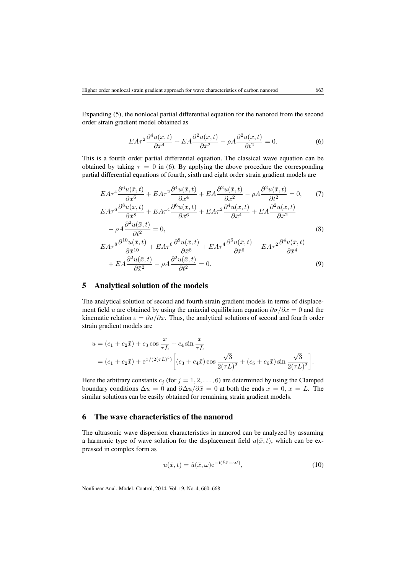Expanding [\(5\)](#page-2-2), the nonlocal partial differential equation for the nanorod from the second order strain gradient model obtained as

<span id="page-3-3"></span><span id="page-3-2"></span><span id="page-3-0"></span>
$$
EA\tau^2 \frac{\partial^4 u(\bar{x},t)}{\partial \bar{x}^4} + EA \frac{\partial^2 u(\bar{x},t)}{\partial \bar{x}^2} - \rho A \frac{\partial^2 u(\bar{x},t)}{\partial t^2} = 0.
$$
 (6)

This is a fourth order partial differential equation. The classical wave equation can be obtained by taking  $\tau = 0$  in [\(6\)](#page-3-0). By applying the above procedure the corresponding partial differential equations of fourth, sixth and eight order strain gradient models are

$$
EA\tau^4 \frac{\partial^6 u(\bar{x},t)}{\partial \bar{x}^6} + EA\tau^2 \frac{\partial^4 u(\bar{x},t)}{\partial \bar{x}^4} + EA \frac{\partial^2 u(\bar{x},t)}{\partial \bar{x}^2} - \rho A \frac{\partial^2 u(\bar{x},t)}{\partial t^2} = 0,
$$
(7)  
\n
$$
EA\tau^6 \frac{\partial^8 u(\bar{x},t)}{\partial \bar{x}^8} + EA\tau^4 \frac{\partial^6 u(\bar{x},t)}{\partial \bar{x}^6} + EA\tau^2 \frac{\partial^4 u(\bar{x},t)}{\partial \bar{x}^4} + EA \frac{\partial^2 u(\bar{x},t)}{\partial \bar{x}^2} - \rho A \frac{\partial^2 u(\bar{x},t)}{\partial t^2} = 0,
$$
(8)  
\n
$$
EA\tau^8 \frac{\partial^{10} u(\bar{x},t)}{\partial \bar{x}^{10}} + EA\tau^6 \frac{\partial^8 u(\bar{x},t)}{\partial \bar{x}^8} + EA\tau^4 \frac{\partial^6 u(\bar{x},t)}{\partial \bar{x}^6} + EA\tau^2 \frac{\partial^4 u(\bar{x},t)}{\partial \bar{x}^4}
$$

#### <span id="page-3-4"></span>+  $EA\frac{\partial^2 u(\bar{x},t)}{\partial z^2}$  $\frac{u(\bar{x},t)}{\partial \bar{x}^2} - \rho A \frac{\partial^2 u(\bar{x},t)}{\partial t^2}$  $\frac{\partial u(x, y)}{\partial t^2} = 0.$  (9)

## 5 Analytical solution of the models

The analytical solution of second and fourth strain gradient models in terms of displacement field u are obtained by using the uniaxial equilibrium equation  $\partial \sigma / \partial x = 0$  and the kinematic relation  $\varepsilon = \frac{\partial u}{\partial x}$ . Thus, the analytical solutions of second and fourth order strain gradient models are

$$
u = (c_1 + c_2 \bar{x}) + c_3 \cos \frac{\bar{x}}{\tau L} + c_4 \sin \frac{\bar{x}}{\tau L}
$$
  
=  $(c_1 + c_2 \bar{x}) + e^{\bar{x}/(2(\tau L)^2)} \left[ (c_3 + c_4 \bar{x}) \cos \frac{\sqrt{3}}{2(\tau L)^2} + (c_5 + c_6 \bar{x}) \sin \frac{\sqrt{3}}{2(\tau L)^2} \right].$ 

Here the arbitrary constants  $c_j$  (for  $j = 1, 2, \ldots, 6$ ) are determined by using the Clamped boundary conditions  $\Delta u = 0$  and  $\partial \Delta u / \partial \bar{x} = 0$  at both the ends  $x = 0, x = L$ . The similar solutions can be easily obtained for remaining strain gradient models.

## 6 The wave characteristics of the nanorod

The ultrasonic wave dispersion characteristics in nanorod can be analyzed by assuming a harmonic type of wave solution for the displacement field  $u(\bar{x}, t)$ , which can be expressed in complex form as

<span id="page-3-1"></span>
$$
u(\bar{x},t) = \hat{u}(\bar{x},\omega)e^{-i(\bar{k}\bar{x}-\omega t)},
$$
\n(10)

Nonlinear Anal. Model. Control, 2014, Vol. 19, No. 4, 660–668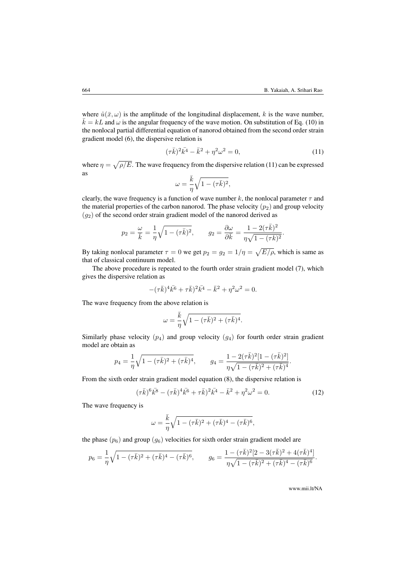where  $\hat{u}(\bar{x}, \omega)$  is the amplitude of the longitudinal displacement, k is the wave number,  $\bar{k} = kL$  and  $\omega$  is the angular frequency of the wave motion. On substitution of Eq. [\(10\)](#page-3-1) in the nonlocal partial differential equation of nanorod obtained from the second order strain gradient model [\(6\)](#page-3-0), the dispersive relation is

<span id="page-4-0"></span>
$$
(\tau \bar{k})^2 \bar{k^4} - \bar{k}^2 + \eta^2 \omega^2 = 0,
$$
\n(11)

where  $\eta = \sqrt{\rho/E}$ . The wave frequency from the dispersive relation [\(11\)](#page-4-0) can be expressed as

$$
\omega = \frac{\bar{k}}{\eta} \sqrt{1 - (\tau \bar{k})^2},
$$

clearly, the wave frequency is a function of wave number k, the nonlocal parameter  $\tau$  and the material properties of the carbon nanorod. The phase velocity  $(p_2)$  and group velocity  $(g_2)$  of the second order strain gradient model of the nanorod derived as

$$
p_2 = \frac{\omega}{\overline{k}} = \frac{1}{\eta} \sqrt{1 - (\tau \overline{k})^2}, \qquad g_2 = \frac{\partial \omega}{\partial \overline{k}} = \frac{1 - 2(\tau \overline{k})^2}{\eta \sqrt{1 - (\tau \overline{k})^2}}.
$$

By taking nonlocal parameter  $\tau = 0$  we get  $p_2 = g_2 = 1/\eta = \sqrt{E/\rho}$ , which is same as that of classical continuum model.

The above procedure is repeated to the fourth order strain gradient model [\(7\)](#page-3-2), which gives the dispersive relation as

$$
-(\tau \bar{k})^4 \bar{k^6} + \tau \bar{k})^2 \bar{k^4} - \bar{k}^2 + \eta^2 \omega^2 = 0.
$$

The wave frequency from the above relation is

$$
\omega = \frac{\bar{k}}{\eta} \sqrt{1 - (\tau \bar{k})^2 + (\tau \bar{k})^4}.
$$

Similarly phase velocity  $(p_4)$  and group velocity  $(q_4)$  for fourth order strain gradient model are obtain as

$$
p_4 = \frac{1}{\eta} \sqrt{1 - (\tau \bar{k})^2 + (\tau \bar{k})^4}, \qquad g_4 = \frac{1 - 2(\tau \bar{k})^2 [1 - (\tau \bar{k})^2]}{\eta \sqrt{1 - (\tau \bar{k})^2 + (\tau \bar{k})^4}}.
$$

From the sixth order strain gradient model equation [\(8\)](#page-3-3), the dispersive relation is

<span id="page-4-1"></span>
$$
(\tau \bar{k})^6 \bar{k}^8 - (\tau \bar{k})^4 \bar{k}^6 + \tau \bar{k})^2 \bar{k}^4 - \bar{k}^2 + \eta^2 \omega^2 = 0.
$$
 (12)

The wave frequency is

$$
\omega=\frac{\bar{k}}{\eta}\sqrt{1-(\tau\bar{k})^2+(\tau\bar{k})^4-(\tau\bar{k})^6},
$$

the phase  $(p_6)$  and group  $(q_6)$  velocities for sixth order strain gradient model are

$$
p_6 = \frac{1}{\eta} \sqrt{1 - (\tau \bar{k})^2 + (\tau \bar{k})^4 - (\tau \bar{k})^6}, \qquad g_6 = \frac{1 - (\tau \bar{k})^2 [2 - 3(\tau \bar{k})^2 + 4(\tau \bar{k})^4]}{\eta \sqrt{1 - (\tau \bar{k})^2 + (\tau \bar{k})^4 - (\tau \bar{k})^6}}.
$$

www.mii.lt/NA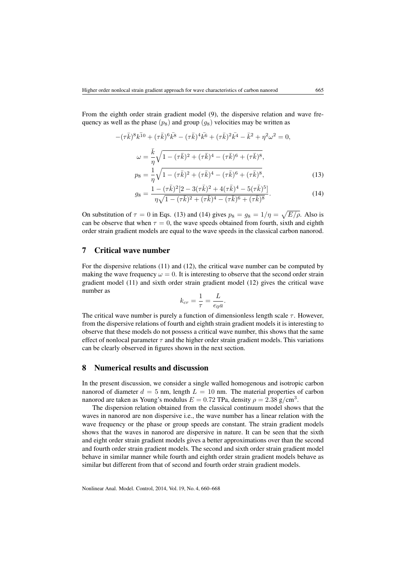From the eighth order strain gradient model [\(9\)](#page-3-4), the dispersive relation and wave frequency as well as the phase  $(p_8)$  and group  $(q_8)$  velocities may be written as

$$
-(\tau \bar{k})^8 k^{\bar{1}0} + (\tau \bar{k})^6 k^{\bar{8}} - (\tau \bar{k})^4 k^{\bar{6}} + (\tau \bar{k})^2 k^{\bar{4}} - \bar{k}^2 + \eta^2 \omega^2 = 0,
$$
  

$$
\omega = \frac{\bar{k}}{\eta} \sqrt{1 - (\tau \bar{k})^2 + (\tau \bar{k})^4 - (\tau \bar{k})^6 + (\tau \bar{k})^8},
$$
  

$$
p_8 = \frac{1}{\eta} \sqrt{1 - (\tau \bar{k})^2 + (\tau \bar{k})^4 - (\tau \bar{k})^6 + (\tau \bar{k})^8},
$$
 (13)

<span id="page-5-0"></span>
$$
g_8 = \frac{1 - (\tau \bar{k})^2 [2 - 3(\tau \bar{k})^2 + 4(\tau \bar{k})^4 - 5(\tau \bar{k})^5]}{\eta \sqrt{1 - (\tau \bar{k})^2 + (\tau \bar{k})^4 - (\tau \bar{k})^6 + (\tau \bar{k})^8}}.
$$
(14)

On substitution of  $\tau = 0$  in Eqs. [\(13\)](#page-5-0) and [\(14\)](#page-5-1) gives  $p_8 = g_8 = 1/\eta = \sqrt{E/\rho}$ . Also is can be observe that when  $\tau = 0$ , the wave speeds obtained from fourth, sixth and eighth order strain gradient models are equal to the wave speeds in the classical carbon nanorod.

## 7 Critical wave number

For the dispersive relations [\(11\)](#page-4-0) and [\(12\)](#page-4-1), the critical wave number can be computed by making the wave frequency  $\omega = 0$ . It is interesting to observe that the second order strain gradient model [\(11\)](#page-4-0) and sixth order strain gradient model [\(12\)](#page-4-1) gives the critical wave number as

<span id="page-5-1"></span>
$$
k_{cr} = \frac{1}{\tau} = \frac{L}{e_0 a}.
$$

The critical wave number is purely a function of dimensionless length scale  $\tau$ . However, from the dispersive relations of fourth and eighth strain gradient models it is interesting to observe that these models do not possess a critical wave number, this shows that the same effect of nonlocal parameter  $\tau$  and the higher order strain gradient models. This variations can be clearly observed in figures shown in the next section.

#### 8 Numerical results and discussion

In the present discussion, we consider a single walled homogenous and isotropic carbon nanorod of diameter  $d = 5$  nm, length  $L = 10$  nm. The material properties of carbon nanorod are taken as Young's modulus  $E = 0.72$  TPa, density  $\rho = 2.38$  g/cm<sup>3</sup>.

The dispersion relation obtained from the classical continuum model shows that the waves in nanorod are non dispersive i.e., the wave number has a linear relation with the wave frequency or the phase or group speeds are constant. The strain gradient models shows that the waves in nanorod are dispersive in nature. It can be seen that the sixth and eight order strain gradient models gives a better approximations over than the second and fourth order strain gradient models. The second and sixth order strain gradient model behave in similar manner while fourth and eighth order strain gradient models behave as similar but different from that of second and fourth order strain gradient models.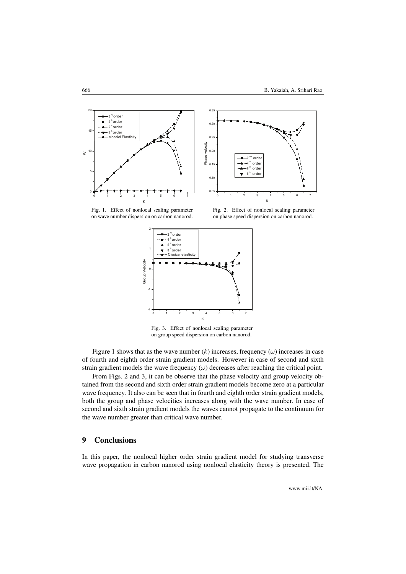<span id="page-6-0"></span>



Fig. 1. Effect of nonlocal scaling parameter on wave number dispersion on carbon nanorod.

Fig. 2. Effect of nonlocal scaling parameter on phase speed dispersion on carbon nanorod.



Fig. 3. Effect of nonlocal scaling parameter on group speed dispersion on carbon nanorod.

Figure [1](#page-6-0) shows that as the wave number  $(k)$  increases, frequency  $(\omega)$  increases in case of fourth and eighth order strain gradient models. However in case of second and sixth strain gradient models the wave frequency  $(\omega)$  decreases after reaching the critical point.

From Figs. [2](#page-6-0) and [3,](#page-6-0) it can be observe that the phase velocity and group velocity obtained from the second and sixth order strain gradient models become zero at a particular wave frequency. It also can be seen that in fourth and eighth order strain gradient models, both the group and phase velocities increases along with the wave number. In case of second and sixth strain gradient models the waves cannot propagate to the continuum for the wave number greater than critical wave number.

## 9 Conclusions

In this paper, the nonlocal higher order strain gradient model for studying transverse wave propagation in carbon nanorod using nonlocal elasticity theory is presented. The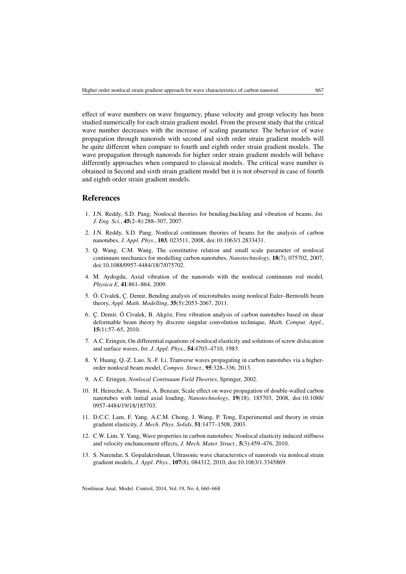effect of wave numbers on wave frequency, phase velocity and group velocity has been studied numerically for each strain gradient model. From the present study that the critical wave number decreases with the increase of scaling parameter. The behavior of wave propagation through nanorods with second and sixth order strain gradient models will be quite different when compare to fourth and eighth order strain gradient models. The wave propagation through nanorods for higher order strain gradient models will behave differently approaches when compared to classical models. The critical wave number is obtained in Second and sixth strain gradient model but it is not observed in case of fourth and eighth order strain gradient models.

#### References

- <span id="page-7-0"></span>1. J.N. Reddy, S.D. Pang, Nonlocal theories for bending,buckling and vibration of beams, *Int. J. Eng. Sci.*, 45(2–8):288–307, 2007.
- <span id="page-7-9"></span>2. J.N. Reddy, S.D. Pang, Nonlocal continuum theories of beams for the analysis of carbon nanotubes, *J. Appl. Phys.*, 103, 023511, 2008, doi:10.1063/1.2833431.
- <span id="page-7-1"></span>3. Q. Wang, C.M. Wang, The constitutive relation and small scale parameter of nonlocal continuum mechanics for modelling carbon nanotubes, *Nanotechnology*, 18(7), 075702, 2007, doi:10.1088/0957-4484/18/7/075702.
- <span id="page-7-2"></span>4. M. Aydogdu, Axial vibration of the nanorods with the nonlocal continuum rod model, *Physica E*, 41:861–864, 2009.
- 5. Ö. Civalek, Ç. Demir, Bending analysis of microtubules using nonlocal Euler–Bernoulli beam theory, *Appl. Math. Modelling*, 35(5):2053-2067, 2011.
- 6. Ç. Demir, Ö Civalek, B. Akgöz, Free vibration analysis of carbon nanotubes based on shear deformable beam theory by discrete singular convolution technique, *Math. Comput. Appl.*, 15(1):57–65, 2010.
- <span id="page-7-3"></span>7. A.C. Eringen, On differential equations of nonlocal elasticity and solutions of screw dislocation and surface waves, *Int. J. Appl. Phys.*, 54:4703–4710, 1983.
- <span id="page-7-4"></span>8. Y. Huang, Q.-Z. Luo, X.-F. Li, Tranverse waves propagating in carbon nanotubes via a higherorder nonlocal beam model, *Compos. Struct.*, 95:328–336, 2013.
- <span id="page-7-5"></span>9. A.C. Eringen, *Nonlocal Continuum Field Theories*, Springer, 2002.
- <span id="page-7-6"></span>10. H. Heireche, A. Tounsi, A. Benzair, Scale effect on wave propagation of double-walled carbon nanotubes with initial axial loading, *Nanotechnology*, 19(18), 185703, 2008, doi:10.1088/ 0957-4484/19/18/185703.
- <span id="page-7-7"></span>11. D.C.C. Lam, F. Yang, A.C.M. Chong, J. Wang, P. Tong, Experimental and theory in strain gradient elasticity, *J. Mech. Phys. Solids*, 51:1477–1508, 2003.
- <span id="page-7-8"></span>12. C.W. Lim, Y. Yang, Wave properties in carbon nanotubes: Nonlocal elasticity induced stiffness and velocity enchancement effects, *J. Mech. Mater. Struct.*, 5(3):459–476, 2010.
- 13. S. Narendar, S. Gopalakrishnan, Ultrasonic wave characterstics of nanorods via nonlocal strain gradient models, *J. Appl. Phys.*, 107(8), 084312, 2010, doi:10.1063/1.3345869.